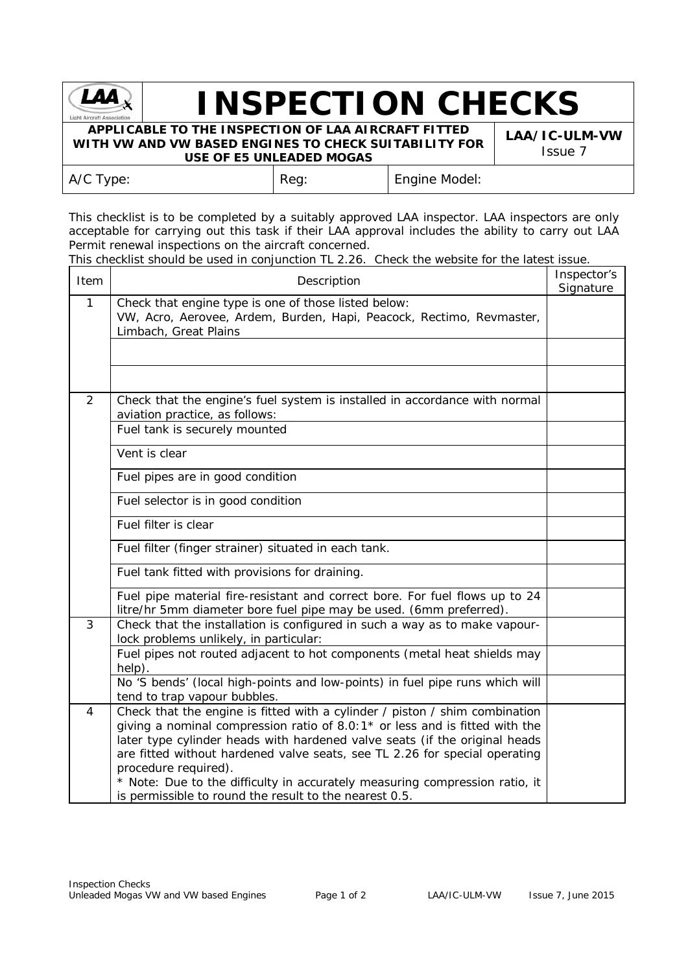

## **INSPECTION CHECKS**

**APPLICABLE TO THE INSPECTION OF LAA AIRCRAFT FITTED WITH VW AND VW BASED ENGINES TO CHECK SUITABILITY FOR USE OF E5 UNLEADED MOGAS**

**LAA/IC-ULM-VW** Issue 7

| _____________________ |      |               |  |
|-----------------------|------|---------------|--|
| A/C Type:             | Reg: | Engine Model: |  |

This checklist is to be completed by a suitably approved LAA inspector. LAA inspectors are only acceptable for carrying out this task if their LAA approval includes the ability to carry out LAA Permit renewal inspections on the aircraft concerned.

This checklist should be used in conjunction TL 2.26. Check the website for the latest issue.

| Item         | Description                                                                                                                                                                                                                                                                                                                                                                                                                                                                               | Inspector's<br>Signature |
|--------------|-------------------------------------------------------------------------------------------------------------------------------------------------------------------------------------------------------------------------------------------------------------------------------------------------------------------------------------------------------------------------------------------------------------------------------------------------------------------------------------------|--------------------------|
| $\mathbf{1}$ | Check that engine type is one of those listed below:<br>VW, Acro, Aerovee, Ardem, Burden, Hapi, Peacock, Rectimo, Revmaster,<br>Limbach, Great Plains                                                                                                                                                                                                                                                                                                                                     |                          |
|              |                                                                                                                                                                                                                                                                                                                                                                                                                                                                                           |                          |
|              |                                                                                                                                                                                                                                                                                                                                                                                                                                                                                           |                          |
| 2            | Check that the engine's fuel system is installed in accordance with normal<br>aviation practice, as follows:                                                                                                                                                                                                                                                                                                                                                                              |                          |
|              | Fuel tank is securely mounted                                                                                                                                                                                                                                                                                                                                                                                                                                                             |                          |
|              | Vent is clear                                                                                                                                                                                                                                                                                                                                                                                                                                                                             |                          |
|              | Fuel pipes are in good condition                                                                                                                                                                                                                                                                                                                                                                                                                                                          |                          |
|              | Fuel selector is in good condition                                                                                                                                                                                                                                                                                                                                                                                                                                                        |                          |
|              | Fuel filter is clear                                                                                                                                                                                                                                                                                                                                                                                                                                                                      |                          |
|              | Fuel filter (finger strainer) situated in each tank.                                                                                                                                                                                                                                                                                                                                                                                                                                      |                          |
|              | Fuel tank fitted with provisions for draining.                                                                                                                                                                                                                                                                                                                                                                                                                                            |                          |
|              | Fuel pipe material fire-resistant and correct bore. For fuel flows up to 24<br>litre/hr 5mm diameter bore fuel pipe may be used. (6mm preferred).                                                                                                                                                                                                                                                                                                                                         |                          |
| $\mathbf{3}$ | Check that the installation is configured in such a way as to make vapour-<br>lock problems unlikely, in particular:                                                                                                                                                                                                                                                                                                                                                                      |                          |
|              | Fuel pipes not routed adjacent to hot components (metal heat shields may<br>help).                                                                                                                                                                                                                                                                                                                                                                                                        |                          |
|              | No 'S bends' (local high-points and low-points) in fuel pipe runs which will<br>tend to trap vapour bubbles.                                                                                                                                                                                                                                                                                                                                                                              |                          |
| 4            | Check that the engine is fitted with a cylinder / piston / shim combination<br>giving a nominal compression ratio of $8.0:1*$ or less and is fitted with the<br>later type cylinder heads with hardened valve seats (if the original heads<br>are fitted without hardened valve seats, see TL 2.26 for special operating<br>procedure required).<br>* Note: Due to the difficulty in accurately measuring compression ratio, it<br>is permissible to round the result to the nearest 0.5. |                          |